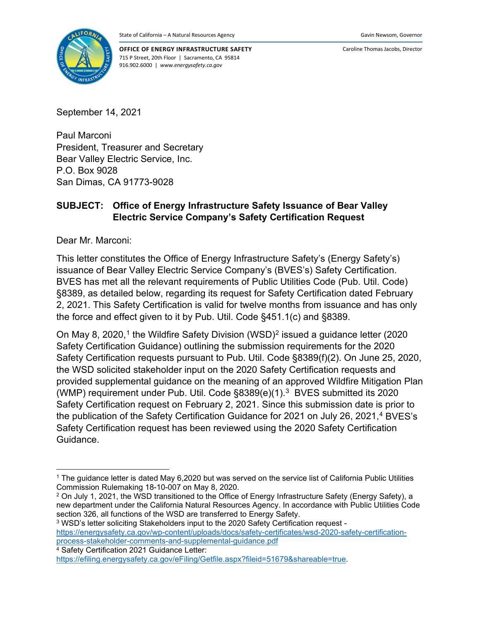

**OFFICE OF ENERGY INFRASTRUCTURE SAFETY** 715 P Street, 20th Floor | Sacramento, CA 95814 916.902.6000 | *www.energysafety.ca.gov*

Caroline Thomas Jacobs, Director

September 14, 2021

Paul Marconi President, Treasurer and Secretary Bear Valley Electric Service, Inc. P.O. Box 9028 San Dimas, CA 91773-9028

### **SUBJECT: Office of Energy Infrastructure Safety Issuance of Bear Valley Electric Service Company's Safety Certification Request**

Dear Mr. Marconi:

This letter constitutes the Office of Energy Infrastructure Safety's (Energy Safety's) issuance of Bear Valley Electric Service Company's (BVES's) Safety Certification. BVES has met all the relevant requirements of Public Utilities Code (Pub. Util. Code) §8389, as detailed below, regarding its request for Safety Certification dated February 2, 2021. This Safety Certification is valid for twelve months from issuance and has only the force and effect given to it by Pub. Util. Code §451.1(c) and §8389.

On May 8, 2020,<sup>[1](#page-0-0)</sup> the Wildfire Safety Division (WSD)<sup>[2](#page-0-1)</sup> issued a guidance letter (2020 Safety Certification Guidance) outlining the submission requirements for the 2020 Safety Certification requests pursuant to Pub. Util. Code §8389(f)(2). On June 25, 2020, the WSD solicited stakeholder input on the 2020 Safety Certification requests and provided supplemental guidance on the meaning of an approved Wildfire Mitigation Plan (WMP) requirement under Pub. Util. Code §8389(e)(1).[3](#page-0-2) BVES submitted its 2020 Safety Certification request on February 2, 2021. Since this submission date is prior to the publication of the Safety Certification Guidance for 2021 on July 26, 2021, [4](#page-0-3) BVES's Safety Certification request has been reviewed using the 2020 Safety Certification Guidance.

<span id="page-0-3"></span><sup>4</sup> Safety Certification 2021 Guidance Letter:

<span id="page-0-0"></span><sup>&</sup>lt;sup>1</sup> The guidance letter is dated May 6,2020 but was served on the service list of California Public Utilities Commission Rulemaking 18-10-007 on May 8, 2020.

<span id="page-0-1"></span><sup>&</sup>lt;sup>2</sup> On July 1, 2021, the WSD transitioned to the Office of Energy Infrastructure Safety (Energy Safety), a new department under the California Natural Resources Agency. In accordance with Public Utilities Code section 326, all functions of the WSD are transferred to Energy Safety.

<span id="page-0-2"></span><sup>3</sup> WSD's letter soliciting Stakeholders input to the 2020 Safety Certification request [https://energysafety.ca.gov/wp-content/uploads/docs/safety-certificates/wsd-2020-safety-certification](https://energysafety.ca.gov/wp-content/uploads/docs/safety-certificates/wsd-2020-safety-certification-process-stakeholder-comments-and-supplemental-guidance.pdf)[process-stakeholder-comments-and-supplemental-guidance.pdf](https://energysafety.ca.gov/wp-content/uploads/docs/safety-certificates/wsd-2020-safety-certification-process-stakeholder-comments-and-supplemental-guidance.pdf)

[https://efiling.energysafety.ca.gov/eFiling/Getfile.aspx?fileid=51679&shareable=true.](https://efiling.energysafety.ca.gov/eFiling/Getfile.aspx?fileid=51679&shareable=true)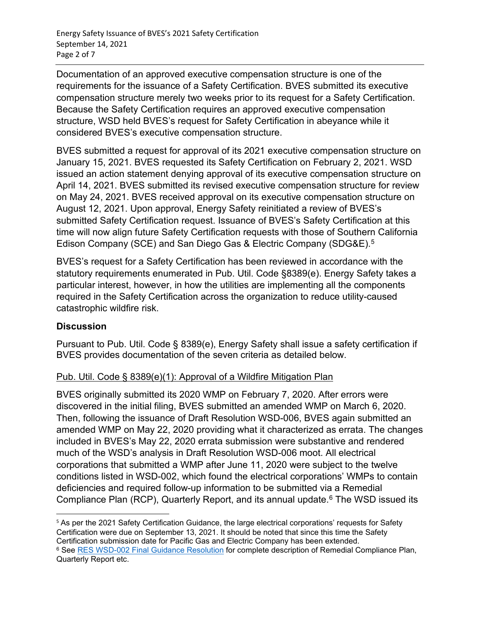Documentation of an approved executive compensation structure is one of the requirements for the issuance of a Safety Certification. BVES submitted its executive compensation structure merely two weeks prior to its request for a Safety Certification. Because the Safety Certification requires an approved executive compensation structure, WSD held BVES's request for Safety Certification in abeyance while it considered BVES's executive compensation structure.

BVES submitted a request for approval of its 2021 executive compensation structure on January 15, 2021. BVES requested its Safety Certification on February 2, 2021. WSD issued an action statement denying approval of its executive compensation structure on April 14, 2021. BVES submitted its revised executive compensation structure for review on May 24, 2021. BVES received approval on its executive compensation structure on August 12, 2021. Upon approval, Energy Safety reinitiated a review of BVES's submitted Safety Certification request. Issuance of BVES's Safety Certification at this time will now align future Safety Certification requests with those of Southern California Edison Company (SCE) and San Diego Gas & Electric Company (SDG&E)[.5](#page-1-0)

BVES's request for a Safety Certification has been reviewed in accordance with the statutory requirements enumerated in Pub. Util. Code §8389(e). Energy Safety takes a particular interest, however, in how the utilities are implementing all the components required in the Safety Certification across the organization to reduce utility-caused catastrophic wildfire risk.

#### **Discussion**

Pursuant to Pub. Util. Code § 8389(e), Energy Safety shall issue a safety certification if BVES provides documentation of the seven criteria as detailed below.

# Pub. Util. Code § 8389(e)(1): Approval of a Wildfire Mitigation Plan

BVES originally submitted its 2020 WMP on February 7, 2020. After errors were discovered in the initial filing, BVES submitted an amended WMP on March 6, 2020. Then, following the issuance of Draft Resolution WSD-006, BVES again submitted an amended WMP on May 22, 2020 providing what it characterized as errata. The changes included in BVES's May 22, 2020 errata submission were substantive and rendered much of the WSD's analysis in Draft Resolution WSD-006 moot. All electrical corporations that submitted a WMP after June 11, 2020 were subject to the twelve conditions listed in WSD-002, which found the electrical corporations' WMPs to contain deficiencies and required follow-up information to be submitted via a Remedial Compliance Plan (RCP), Quarterly Report, and its annual update.<sup>[6](#page-1-1)</sup> The WSD issued its

<span id="page-1-1"></span><span id="page-1-0"></span><sup>5</sup> As per the 2021 Safety Certification Guidance, the large electrical corporations' requests for Safety Certification were due on September 13, 2021. It should be noted that since this time the Safety Certification submission date for Pacific Gas and Electric Company has been extended. <sup>6</sup> See [RES WSD-002 Final Guidance Resolution](https://docs.cpuc.ca.gov/PublishedDocs/Published/G000/M340/K859/340859823.PDF) for complete description of Remedial Compliance Plan, Quarterly Report etc.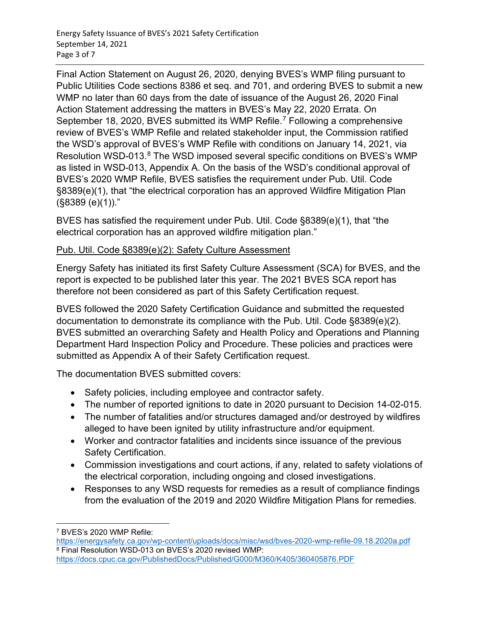Final Action Statement on August 26, 2020, denying BVES's WMP filing pursuant to Public Utilities Code sections 8386 et seq. and 701, and ordering BVES to submit a new WMP no later than 60 days from the date of issuance of the August 26, 2020 Final Action Statement addressing the matters in BVES's May 22, 2020 Errata. On September 18, 2020, BVES submitted its WMP Refile. [7](#page-2-0) Following a comprehensive review of BVES's WMP Refile and related stakeholder input, the Commission ratified the WSD's approval of BVES's WMP Refile with conditions on January 14, 2021, via Resolution WSD-013.<sup>[8](#page-2-1)</sup> The WSD imposed several specific conditions on BVES's WMP as listed in WSD-013, Appendix A. On the basis of the WSD's conditional approval of BVES's 2020 WMP Refile, BVES satisfies the requirement under Pub. Util. Code §8389(e)(1), that "the electrical corporation has an approved Wildfire Mitigation Plan (§8389 (e)(1))."

BVES has satisfied the requirement under Pub. Util. Code §8389(e)(1), that "the electrical corporation has an approved wildfire mitigation plan."

#### Pub. Util. Code §8389(e)(2): Safety Culture Assessment

Energy Safety has initiated its first Safety Culture Assessment (SCA) for BVES, and the report is expected to be published later this year. The 2021 BVES SCA report has therefore not been considered as part of this Safety Certification request.

BVES followed the 2020 Safety Certification Guidance and submitted the requested documentation to demonstrate its compliance with the Pub. Util. Code §8389(e)(2). BVES submitted an overarching Safety and Health Policy and Operations and Planning Department Hard Inspection Policy and Procedure. These policies and practices were submitted as Appendix A of their Safety Certification request.

The documentation BVES submitted covers:

- Safety policies, including employee and contractor safety.
- The number of reported ignitions to date in 2020 pursuant to Decision 14-02-015.
- The number of fatalities and/or structures damaged and/or destroyed by wildfires alleged to have been ignited by utility infrastructure and/or equipment.
- Worker and contractor fatalities and incidents since issuance of the previous Safety Certification.
- Commission investigations and court actions, if any, related to safety violations of the electrical corporation, including ongoing and closed investigations.
- Responses to any WSD requests for remedies as a result of compliance findings from the evaluation of the 2019 and 2020 Wildfire Mitigation Plans for remedies.

<span id="page-2-0"></span><sup>7</sup> BVES's 2020 WMP Refile:

<span id="page-2-1"></span><https://energysafety.ca.gov/wp-content/uploads/docs/misc/wsd/bves-2020-wmp-refile-09.18.2020a.pdf> <sup>8</sup> Final Resolution WSD-013 on BVES's 2020 revised WMP: <https://docs.cpuc.ca.gov/PublishedDocs/Published/G000/M360/K405/360405876.PDF>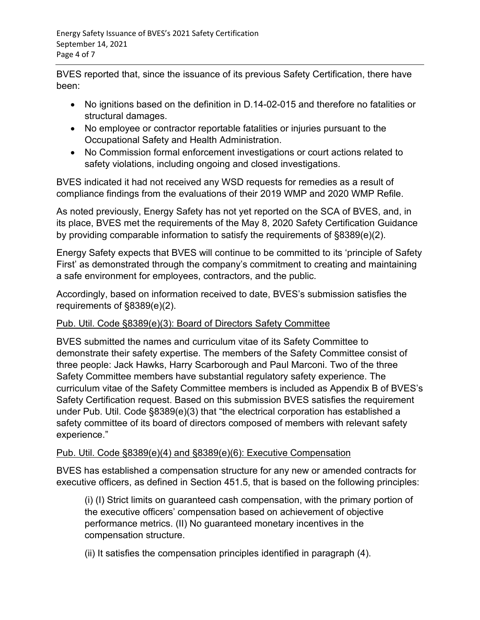BVES reported that, since the issuance of its previous Safety Certification, there have been:

- No ignitions based on the definition in D.14-02-015 and therefore no fatalities or structural damages.
- No employee or contractor reportable fatalities or injuries pursuant to the Occupational Safety and Health Administration.
- No Commission formal enforcement investigations or court actions related to safety violations, including ongoing and closed investigations.

BVES indicated it had not received any WSD requests for remedies as a result of compliance findings from the evaluations of their 2019 WMP and 2020 WMP Refile.

As noted previously, Energy Safety has not yet reported on the SCA of BVES, and, in its place, BVES met the requirements of the May 8, 2020 Safety Certification Guidance by providing comparable information to satisfy the requirements of §8389(e)(2).

Energy Safety expects that BVES will continue to be committed to its 'principle of Safety First' as demonstrated through the company's commitment to creating and maintaining a safe environment for employees, contractors, and the public.

Accordingly, based on information received to date, BVES's submission satisfies the requirements of §8389(e)(2).

# Pub. Util. Code §8389(e)(3): Board of Directors Safety Committee

BVES submitted the names and curriculum vitae of its Safety Committee to demonstrate their safety expertise. The members of the Safety Committee consist of three people: Jack Hawks, Harry Scarborough and Paul Marconi. Two of the three Safety Committee members have substantial regulatory safety experience. The curriculum vitae of the Safety Committee members is included as Appendix B of BVES's Safety Certification request. Based on this submission BVES satisfies the requirement under Pub. Util. Code §8389(e)(3) that "the electrical corporation has established a safety committee of its board of directors composed of members with relevant safety experience."

# Pub. Util. Code §8389(e)(4) and §8389(e)(6): Executive Compensation

BVES has established a compensation structure for any new or amended contracts for executive officers, as defined in Section 451.5, that is based on the following principles:

(i) (I) Strict limits on guaranteed cash compensation, with the primary portion of the executive officers' compensation based on achievement of objective performance metrics. (II) No guaranteed monetary incentives in the compensation structure.

(ii) It satisfies the compensation principles identified in paragraph (4).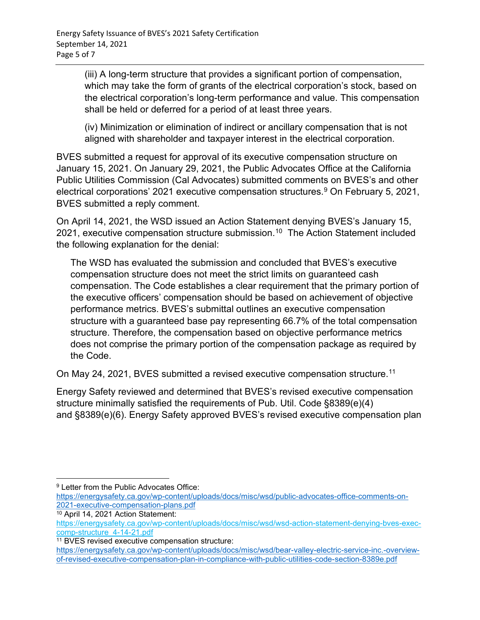(iii) A long-term structure that provides a significant portion of compensation, which may take the form of grants of the electrical corporation's stock, based on the electrical corporation's long-term performance and value. This compensation shall be held or deferred for a period of at least three years.

(iv) Minimization or elimination of indirect or ancillary compensation that is not aligned with shareholder and taxpayer interest in the electrical corporation.

BVES submitted a request for approval of its executive compensation structure on January 15, 2021. On January 29, 2021, the Public Advocates Office at the California Public Utilities Commission (Cal Advocates) submitted comments on BVES's and other electrical corporations' 2021 executive compensation structures. [9](#page-4-0) On February 5, 2021, BVES submitted a reply comment.

On April 14, 2021, the WSD issued an Action Statement denying BVES's January 15, 2021, executive compensation structure submission.<sup>[10](#page-4-1)</sup> The Action Statement included the following explanation for the denial:

The WSD has evaluated the submission and concluded that BVES's executive compensation structure does not meet the strict limits on guaranteed cash compensation. The Code establishes a clear requirement that the primary portion of the executive officers' compensation should be based on achievement of objective performance metrics. BVES's submittal outlines an executive compensation structure with a guaranteed base pay representing 66.7% of the total compensation structure. Therefore, the compensation based on objective performance metrics does not comprise the primary portion of the compensation package as required by the Code.

On May 24, 2021, BVES submitted a revised executive compensation structure.<sup>[11](#page-4-2)</sup>

Energy Safety reviewed and determined that BVES's revised executive compensation structure minimally satisfied the requirements of Pub. Util. Code §8389(e)(4) and §8389(e)(6). Energy Safety approved BVES's revised executive compensation plan

<span id="page-4-0"></span><sup>&</sup>lt;sup>9</sup> Letter from the Public Advocates Office:

[https://energysafety.ca.gov/wp-content/uploads/docs/misc/wsd/public-advocates-office-comments-on-](https://energysafety.ca.gov/wp-content/uploads/docs/misc/wsd/public-advocates-office-comments-on-2021-executive-compensation-plans.pdf)[2021-executive-compensation-plans.pdf](https://energysafety.ca.gov/wp-content/uploads/docs/misc/wsd/public-advocates-office-comments-on-2021-executive-compensation-plans.pdf)

<span id="page-4-1"></span><sup>10</sup> April 14, 2021 Action Statement:

[https://energysafety.ca.gov/wp-content/uploads/docs/misc/wsd/wsd-action-statement-denying-bves-exec](https://energysafety.ca.gov/wp-content/uploads/docs/misc/wsd/wsd-action-statement-denying-bves-exec-comp-structure_4-14-21.pdf)[comp-structure\\_4-14-21.pdf](https://energysafety.ca.gov/wp-content/uploads/docs/misc/wsd/wsd-action-statement-denying-bves-exec-comp-structure_4-14-21.pdf)

<span id="page-4-2"></span><sup>&</sup>lt;sup>11</sup> BVES revised executive compensation structure:

[https://energysafety.ca.gov/wp-content/uploads/docs/misc/wsd/bear-valley-electric-service-inc.-overview](https://energysafety.ca.gov/wp-content/uploads/docs/misc/wsd/bear-valley-electric-service-inc.-overview-of-revised-executive-compensation-plan-in-compliance-with-public-utilities-code-section-8389e.pdf)[of-revised-executive-compensation-plan-in-compliance-with-public-utilities-code-section-8389e.pdf](https://energysafety.ca.gov/wp-content/uploads/docs/misc/wsd/bear-valley-electric-service-inc.-overview-of-revised-executive-compensation-plan-in-compliance-with-public-utilities-code-section-8389e.pdf)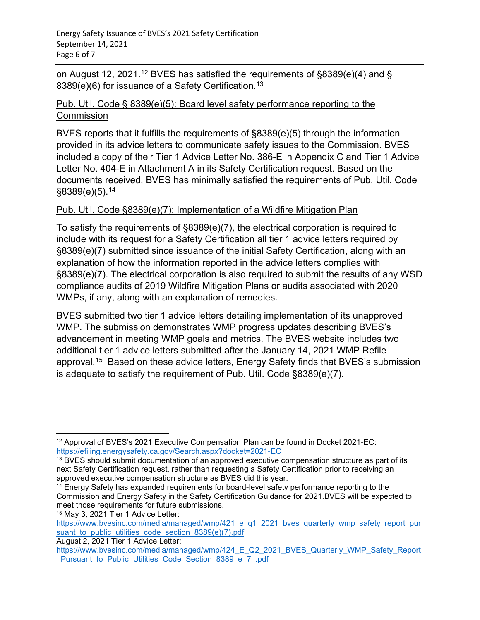on August [12](#page-5-0), 2021. $^{\rm 12}$  BVES has satisfied the requirements of §8389(e)(4) and § 8389(e)(6) for issuance of a Safety Certification.<sup>[13](#page-5-1)</sup>

### Pub. Util. Code § 8389(e)(5): Board level safety performance reporting to the **Commission**

BVES reports that it fulfills the requirements of §8389(e)(5) through the information provided in its advice letters to communicate safety issues to the Commission. BVES included a copy of their Tier 1 Advice Letter No. 386-E in Appendix C and Tier 1 Advice Letter No. 404-E in Attachment A in its Safety Certification request. Based on the documents received, BVES has minimally satisfied the requirements of Pub. Util. Code §8389(e)(5). [14](#page-5-2)

# Pub. Util. Code §8389(e)(7): Implementation of a Wildfire Mitigation Plan

To satisfy the requirements of §8389(e)(7), the electrical corporation is required to include with its request for a Safety Certification all tier 1 advice letters required by §8389(e)(7) submitted since issuance of the initial Safety Certification, along with an explanation of how the information reported in the advice letters complies with §8389(e)(7). The electrical corporation is also required to submit the results of any WSD compliance audits of 2019 Wildfire Mitigation Plans or audits associated with 2020 WMPs, if any, along with an explanation of remedies.

BVES submitted two tier 1 advice letters detailing implementation of its unapproved WMP. The submission demonstrates WMP progress updates describing BVES's advancement in meeting WMP goals and metrics. The BVES website includes two additional tier 1 advice letters submitted after the January 14, 2021 WMP Refile approval.[15](#page-5-3) Based on these advice letters, Energy Safety finds that BVES's submission is adequate to satisfy the requirement of Pub. Util. Code §8389(e)(7).

<span id="page-5-0"></span><sup>&</sup>lt;sup>12</sup> Approval of BVES's 2021 Executive Compensation Plan can be found in Docket 2021-EC: <https://efiling.energysafety.ca.gov/Search.aspx?docket=2021-EC>

<span id="page-5-1"></span><sup>&</sup>lt;sup>13</sup> BVES should submit documentation of an approved executive compensation structure as part of its next Safety Certification request, rather than requesting a Safety Certification prior to receiving an

<span id="page-5-2"></span> $14$  Energy Safety has expanded requirements for board-level safety performance reporting to the Commission and Energy Safety in the Safety Certification Guidance for 2021.BVES will be expected to meet those requirements for future submissions.

<span id="page-5-3"></span><sup>15</sup> May 3, 2021 Tier 1 Advice Letter:

[https://www.bvesinc.com/media/managed/wmp/421\\_e\\_q1\\_2021\\_bves\\_quarterly\\_wmp\\_safety\\_report\\_pur](https://www.bvesinc.com/media/managed/wmp/421_e_q1_2021_bves_quarterly_wmp_safety_report_pursuant_to_public_utilities_code_section_8389(e)(7).pdf) suant to public utilities code section 8389(e)(7).pdf

August 2, 2021 Tier 1 Advice Letter:

[https://www.bvesinc.com/media/managed/wmp/424\\_E\\_Q2\\_2021\\_BVES\\_Quarterly\\_WMP\\_Safety\\_Report](https://www.bvesinc.com/media/managed/wmp/424_E_Q2_2021_BVES_Quarterly_WMP_Safety_Report_Pursuant_to_Public_Utilities_Code_Section_8389_e_7_.pdf) Pursuant to Public Utilities Code Section 8389 e 7 .pdf